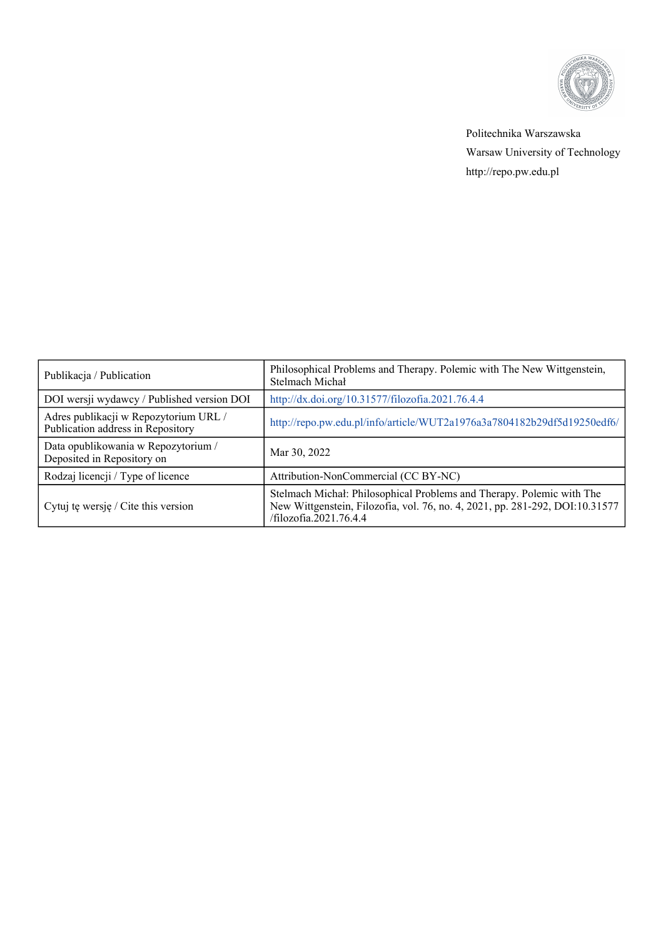

Politechnika Warszawska Warsaw University of Technology http://repo.pw.edu.pl

| Publikacja / Publication                                                   | Philosophical Problems and Therapy. Polemic with The New Wittgenstein,<br>Stelmach Michał                                                                                       |
|----------------------------------------------------------------------------|---------------------------------------------------------------------------------------------------------------------------------------------------------------------------------|
| DOI wersji wydawcy / Published version DOI                                 | http://dx.doi.org/10.31577/filozofia.2021.76.4.4                                                                                                                                |
| Adres publikacji w Repozytorium URL /<br>Publication address in Repository | http://repo.pw.edu.pl/info/article/WUT2a1976a3a7804182b29df5d19250edf6/                                                                                                         |
| Data opublikowania w Repozytorium /<br>Deposited in Repository on          | Mar 30, 2022                                                                                                                                                                    |
| Rodzaj licencji / Type of licence                                          | Attribution-NonCommercial (CC BY-NC)                                                                                                                                            |
| Cytuj tę wersję / Cite this version                                        | Stelmach Michał: Philosophical Problems and Therapy. Polemic with The<br>New Wittgenstein, Filozofia, vol. 76, no. 4, 2021, pp. 281-292, DOI:10.31577<br>/filozofia.2021.76.4.4 |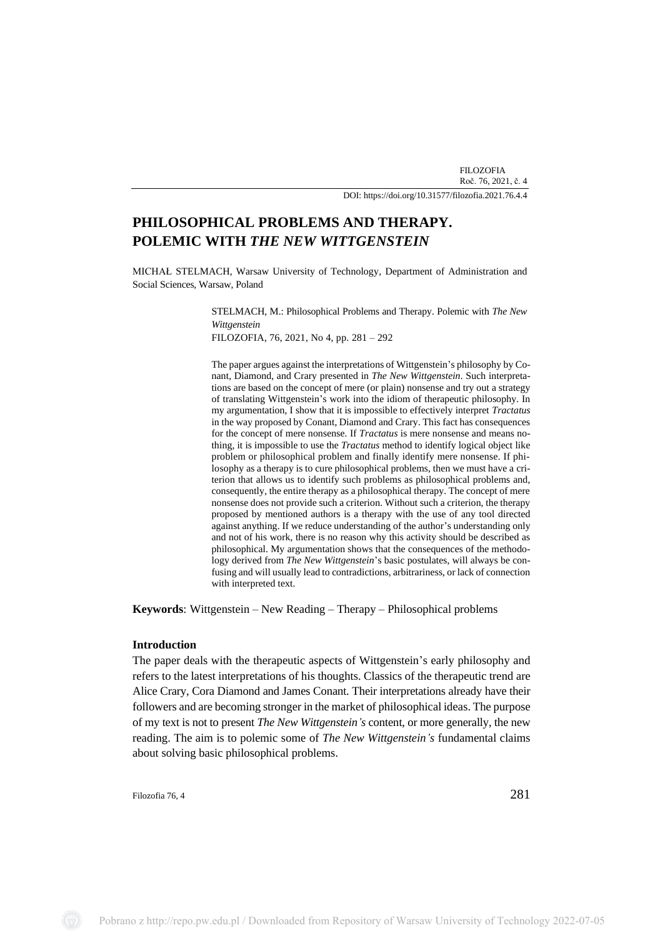DOI[: https://doi.org/10.31577/filozofia.2021.76.4.4](https://doi.org/10.31577/filozofia.2021.76.4.4)

# **PHILOSOPHICAL PROBLEMS AND THERAPY. POLEMIC WITH** *THE NEW WITTGENSTEIN*

MICHAŁ STELMACH, Warsaw University of Technology, Department of Administration and Social Sciences, Warsaw, Poland

> STELMACH, M.: Philosophical Problems and Therapy. Polemic with *The New Wittgenstein* FILOZOFIA, 76, 2021, No 4, pp. 281 – 292

The paper argues against the interpretations of Wittgenstein's philosophy by Conant, Diamond, and Crary presented in *The New Wittgenstein*. Such interpretations are based on the concept of mere (or plain) nonsense and try out a strategy of translating Wittgenstein's work into the idiom of therapeutic philosophy. In my argumentation, I show that it is impossible to effectively interpret *Tractatus* in the way proposed by Conant, Diamond and Crary. This fact has consequences for the concept of mere nonsense. If *Tractatus* is mere nonsense and means nothing, it is impossible to use the *Tractatus* method to identify logical object like problem or philosophical problem and finally identify mere nonsense. If philosophy as a therapy is to cure philosophical problems, then we must have a criterion that allows us to identify such problems as philosophical problems and, consequently, the entire therapy as a philosophical therapy. The concept of mere nonsense does not provide such a criterion. Without such a criterion, the therapy proposed by mentioned authors is a therapy with the use of any tool directed against anything. If we reduce understanding of the author's understanding only and not of his work, there is no reason why this activity should be described as philosophical. My argumentation shows that the consequences of the methodology derived from *The New Wittgenstein*'s basic postulates, will always be confusing and will usually lead to contradictions, arbitrariness, or lack of connection with interpreted text.

**Keywords**: Wittgenstein – New Reading – Therapy – Philosophical problems

### **Introduction**

The paper deals with the therapeutic aspects of Wittgenstein's early philosophy and refers to the latest interpretations of his thoughts. Classics of the therapeutic trend are Alice Crary, Cora Diamond and James Conant. Their interpretations already have their followers and are becoming stronger in the market of philosophical ideas. The purpose of my text is not to present *The New Wittgenstein's* content, or more generally, the new reading. The aim is to polemic some of *The New Wittgenstein's* fundamental claims about solving basic philosophical problems.

Filozofia 76, 4 $281$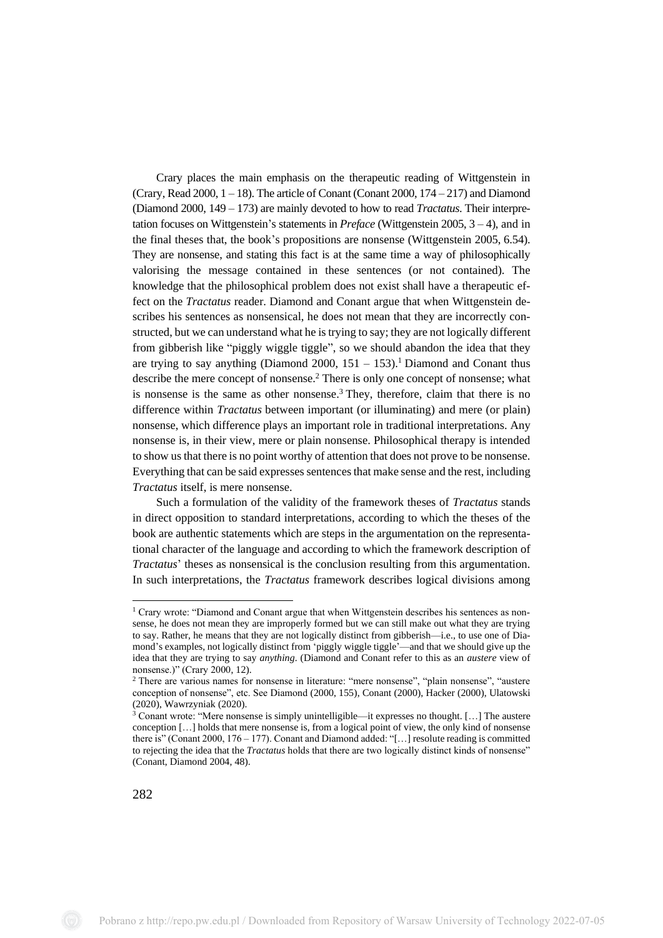Crary places the main emphasis on the therapeutic reading of Wittgenstein in (Crary, Read 2000,  $1 - 18$ ). The article of Conant (Conant 2000, 174 $-217$ ) and Diamond (Diamond 2000, 149 – 173) are mainly devoted to how to read *Tractatus*. Their interpretation focuses on Wittgenstein's statements in *Preface* (Wittgenstein 2005, 3 – 4), and in the final theses that, the book's propositions are nonsense (Wittgenstein 2005, 6.54). They are nonsense, and stating this fact is at the same time a way of philosophically valorising the message contained in these sentences (or not contained). The knowledge that the philosophical problem does not exist shall have a therapeutic effect on the *Tractatus* reader. Diamond and Conant argue that when Wittgenstein describes his sentences as nonsensical, he does not mean that they are incorrectly constructed, but we can understand what he is trying to say; they are not logically different from gibberish like "piggly wiggle tiggle", so we should abandon the idea that they are trying to say anything (Diamond 2000,  $151 - 153$ ).<sup>1</sup> Diamond and Conant thus describe the mere concept of nonsense.<sup>2</sup> There is only one concept of nonsense; what is nonsense is the same as other nonsense.<sup>3</sup> They, therefore, claim that there is no difference within *Tractatus* between important (or illuminating) and mere (or plain) nonsense, which difference plays an important role in traditional interpretations. Any nonsense is, in their view, mere or plain nonsense. Philosophical therapy is intended to show us that there is no point worthy of attention that does not prove to be nonsense. Everything that can be said expresses sentences that make sense and the rest, including *Tractatus* itself, is mere nonsense.

Such a formulation of the validity of the framework theses of *Tractatus* stands in direct opposition to standard interpretations, according to which the theses of the book are authentic statements which are steps in the argumentation on the representational character of the language and according to which the framework description of *Tractatus*' theses as nonsensical is the conclusion resulting from this argumentation. In such interpretations, the *Tractatus* framework describes logical divisions among

<sup>&</sup>lt;sup>1</sup> Crary wrote: "Diamond and Conant argue that when Wittgenstein describes his sentences as nonsense, he does not mean they are improperly formed but we can still make out what they are trying to say. Rather, he means that they are not logically distinct from gibberish—i.e., to use one of Diamond's examples, not logically distinct from 'piggly wiggle tiggle'—and that we should give up the idea that they are trying to say *anything*. (Diamond and Conant refer to this as an *austere* view of nonsense.)" (Crary 2000, 12).

<sup>2</sup> There are various names for nonsense in literature: "mere nonsense", "plain nonsense", "austere conception of nonsense", etc. See Diamond (2000, 155), Conant (2000), Hacker (2000), Ulatowski (2020), Wawrzyniak (2020).

 $3$  Conant wrote: "Mere nonsense is simply unintelligible—it expresses no thought. [...] The austere conception […] holds that mere nonsense is, from a logical point of view, the only kind of nonsense there is" (Conant 2000, 176 – 177). Conant and Diamond added: "[…] resolute reading is committed to rejecting the idea that the *Tractatus* holds that there are two logically distinct kinds of nonsense" (Conant, Diamond 2004, 48).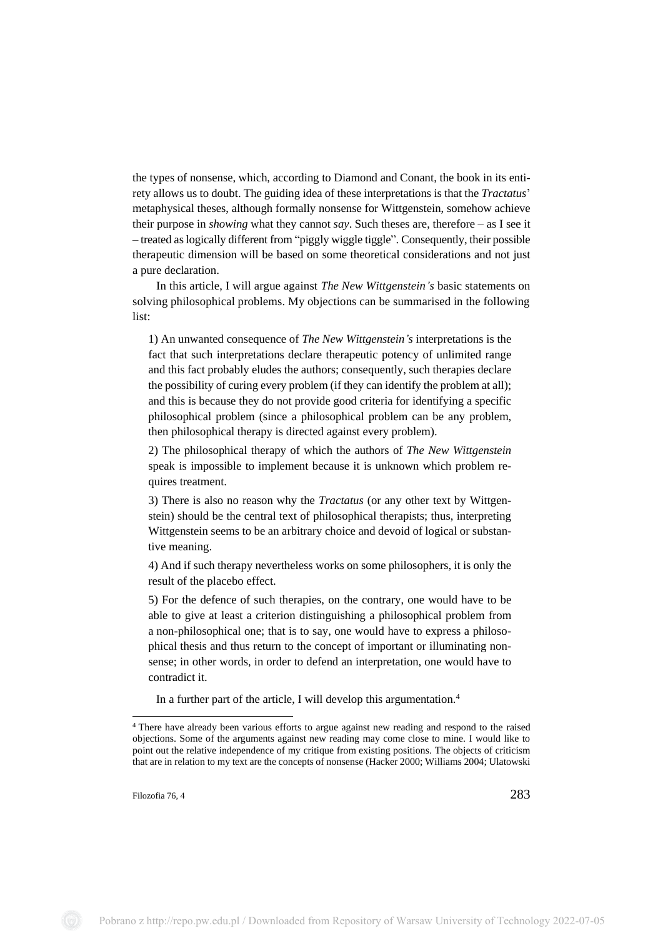the types of nonsense, which, according to Diamond and Conant, the book in its entirety allows us to doubt. The guiding idea of these interpretations is that the *Tractatus*' metaphysical theses, although formally nonsense for Wittgenstein, somehow achieve their purpose in *showing* what they cannot *say*. Such theses are, therefore – as I see it – treated as logically different from "piggly wiggle tiggle". Consequently, their possible therapeutic dimension will be based on some theoretical considerations and not just a pure declaration.

In this article, I will argue against *The New Wittgenstein's* basic statements on solving philosophical problems. My objections can be summarised in the following list:

1) An unwanted consequence of *The New Wittgenstein's* interpretations is the fact that such interpretations declare therapeutic potency of unlimited range and this fact probably eludes the authors; consequently, such therapies declare the possibility of curing every problem (if they can identify the problem at all); and this is because they do not provide good criteria for identifying a specific philosophical problem (since a philosophical problem can be any problem, then philosophical therapy is directed against every problem).

2) The philosophical therapy of which the authors of *The New Wittgenstein* speak is impossible to implement because it is unknown which problem requires treatment.

3) There is also no reason why the *Tractatus* (or any other text by Wittgenstein) should be the central text of philosophical therapists; thus, interpreting Wittgenstein seems to be an arbitrary choice and devoid of logical or substantive meaning.

4) And if such therapy nevertheless works on some philosophers, it is only the result of the placebo effect.

5) For the defence of such therapies, on the contrary, one would have to be able to give at least a criterion distinguishing a philosophical problem from a non-philosophical one; that is to say, one would have to express a philosophical thesis and thus return to the concept of important or illuminating nonsense; in other words, in order to defend an interpretation, one would have to contradict it.

In a further part of the article, I will develop this argumentation.<sup>4</sup>

<sup>4</sup> There have already been various efforts to argue against new reading and respond to the raised objections. Some of the arguments against new reading may come close to mine. I would like to point out the relative independence of my critique from existing positions. The objects of criticism that are in relation to my text are the concepts of nonsense (Hacker 2000; Williams 2004; Ulatowski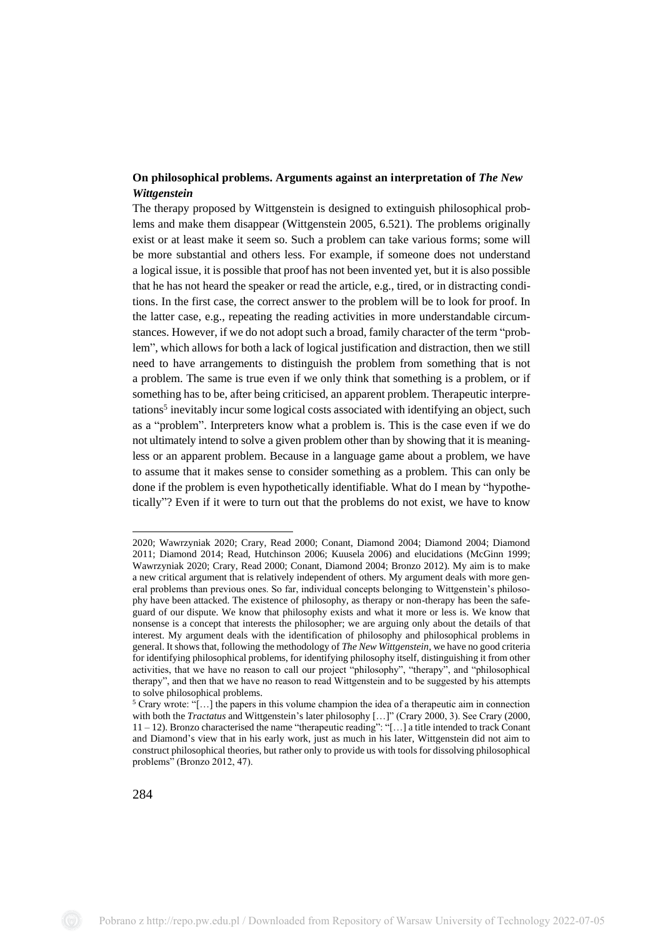# **On philosophical problems. Arguments against an interpretation of** *The New Wittgenstein*

The therapy proposed by Wittgenstein is designed to extinguish philosophical problems and make them disappear (Wittgenstein 2005, 6.521). The problems originally exist or at least make it seem so. Such a problem can take various forms; some will be more substantial and others less. For example, if someone does not understand a logical issue, it is possible that proof has not been invented yet, but it is also possible that he has not heard the speaker or read the article, e.g., tired, or in distracting conditions. In the first case, the correct answer to the problem will be to look for proof. In the latter case, e.g., repeating the reading activities in more understandable circumstances. However, if we do not adopt such a broad, family character of the term "problem", which allows for both a lack of logical justification and distraction, then we still need to have arrangements to distinguish the problem from something that is not a problem. The same is true even if we only think that something is a problem, or if something has to be, after being criticised, an apparent problem. Therapeutic interpretations<sup>5</sup> inevitably incur some logical costs associated with identifying an object, such as a "problem". Interpreters know what a problem is. This is the case even if we do not ultimately intend to solve a given problem other than by showing that it is meaningless or an apparent problem. Because in a language game about a problem, we have to assume that it makes sense to consider something as a problem. This can only be done if the problem is even hypothetically identifiable. What do I mean by "hypothetically"? Even if it were to turn out that the problems do not exist, we have to know

<sup>2020;</sup> Wawrzyniak 2020; Crary, Read 2000; Conant, Diamond 2004; Diamond 2004; Diamond 2011; Diamond 2014; Read, Hutchinson 2006; Kuusela 2006) and elucidations (McGinn 1999; Wawrzyniak 2020; Crary, Read 2000; Conant, Diamond 2004; Bronzo 2012). My aim is to make a new critical argument that is relatively independent of others. My argument deals with more general problems than previous ones. So far, individual concepts belonging to Wittgenstein's philosophy have been attacked. The existence of philosophy, as therapy or non-therapy has been the safeguard of our dispute. We know that philosophy exists and what it more or less is. We know that nonsense is a concept that interests the philosopher; we are arguing only about the details of that interest. My argument deals with the identification of philosophy and philosophical problems in general. It shows that, following the methodology of *The New Wittgenstein*, we have no good criteria for identifying philosophical problems, for identifying philosophy itself, distinguishing it from other activities, that we have no reason to call our project "philosophy", "therapy", and "philosophical therapy", and then that we have no reason to read Wittgenstein and to be suggested by his attempts to solve philosophical problems.

<sup>&</sup>lt;sup>5</sup> Crary wrote: "[...] the papers in this volume champion the idea of a therapeutic aim in connection with both the *Tractatus* and Wittgenstein's later philosophy [...]" (Crary 2000, 3). See Crary (2000, 11 – 12). Bronzo characterised the name "therapeutic reading": "[…] a title intended to track Conant and Diamond's view that in his early work, just as much in his later, Wittgenstein did not aim to construct philosophical theories, but rather only to provide us with tools for dissolving philosophical problems" (Bronzo 2012, 47).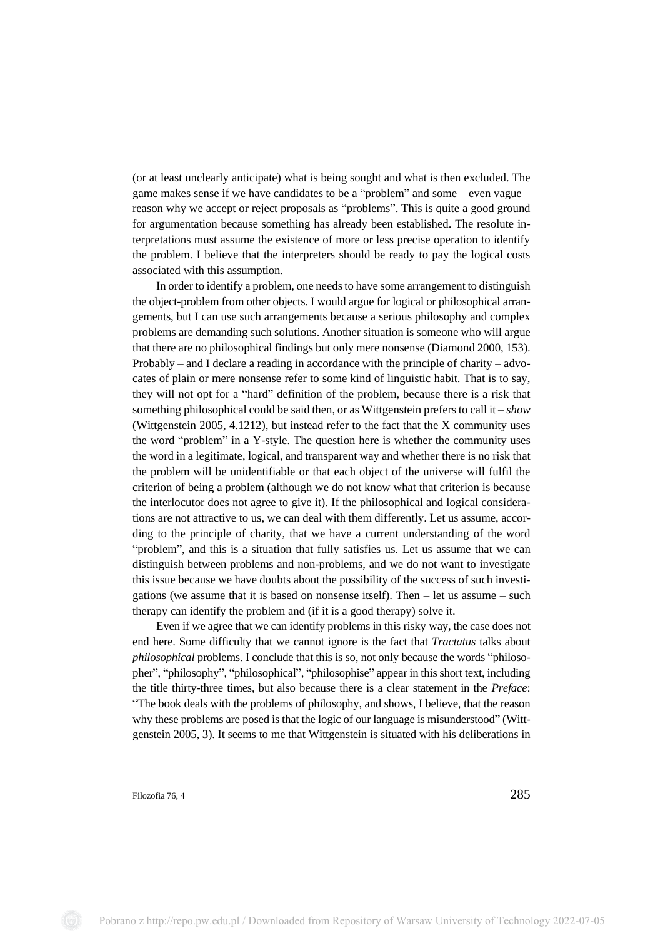(or at least unclearly anticipate) what is being sought and what is then excluded. The game makes sense if we have candidates to be a "problem" and some – even vague – reason why we accept or reject proposals as "problems". This is quite a good ground for argumentation because something has already been established. The resolute interpretations must assume the existence of more or less precise operation to identify the problem. I believe that the interpreters should be ready to pay the logical costs associated with this assumption.

In order to identify a problem, one needs to have some arrangement to distinguish the object-problem from other objects. I would argue for logical or philosophical arrangements, but I can use such arrangements because a serious philosophy and complex problems are demanding such solutions. Another situation is someone who will argue that there are no philosophical findings but only mere nonsense (Diamond 2000, 153). Probably – and I declare a reading in accordance with the principle of charity – advocates of plain or mere nonsense refer to some kind of linguistic habit. That is to say, they will not opt for a "hard" definition of the problem, because there is a risk that something philosophical could be said then, or as Wittgenstein prefers to call it – *show* (Wittgenstein 2005, 4.1212), but instead refer to the fact that the X community uses the word "problem" in a Y-style. The question here is whether the community uses the word in a legitimate, logical, and transparent way and whether there is no risk that the problem will be unidentifiable or that each object of the universe will fulfil the criterion of being a problem (although we do not know what that criterion is because the interlocutor does not agree to give it). If the philosophical and logical considerations are not attractive to us, we can deal with them differently. Let us assume, according to the principle of charity, that we have a current understanding of the word "problem", and this is a situation that fully satisfies us. Let us assume that we can distinguish between problems and non-problems, and we do not want to investigate this issue because we have doubts about the possibility of the success of such investigations (we assume that it is based on nonsense itself). Then – let us assume – such therapy can identify the problem and (if it is a good therapy) solve it.

Even if we agree that we can identify problems in this risky way, the case does not end here. Some difficulty that we cannot ignore is the fact that *Tractatus* talks about *philosophical* problems. I conclude that this is so, not only because the words "philosopher", "philosophy", "philosophical", "philosophise" appear in this short text, including the title thirty-three times, but also because there is a clear statement in the *Preface*: "The book deals with the problems of philosophy, and shows, I believe, that the reason why these problems are posed is that the logic of our language is misunderstood" (Wittgenstein 2005, 3). It seems to me that Wittgenstein is situated with his deliberations in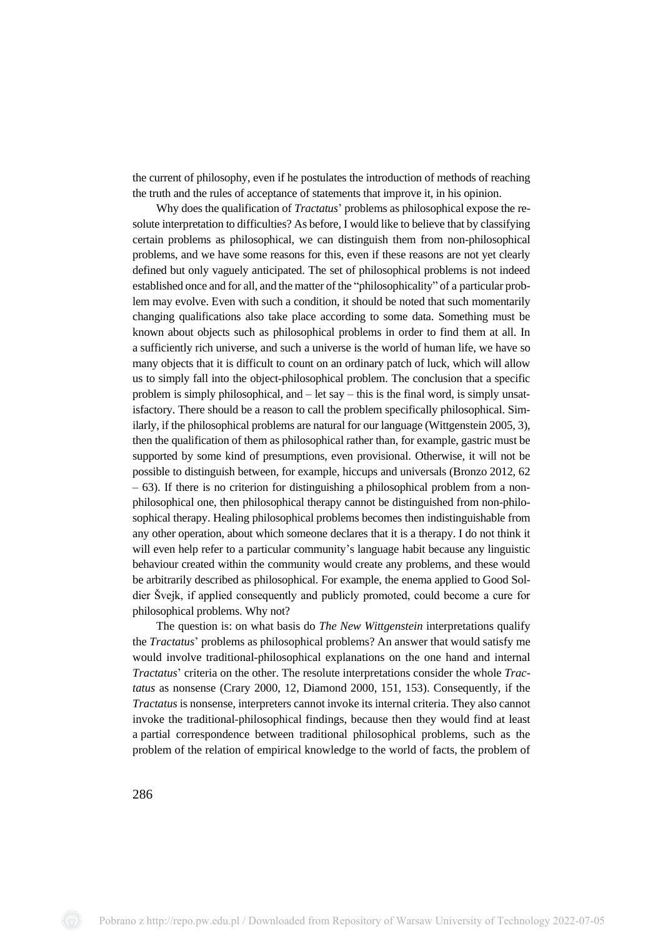the current of philosophy, even if he postulates the introduction of methods of reaching the truth and the rules of acceptance of statements that improve it, in his opinion.

Why does the qualification of *Tractatus*' problems as philosophical expose the resolute interpretation to difficulties? As before, I would like to believe that by classifying certain problems as philosophical, we can distinguish them from non-philosophical problems, and we have some reasons for this, even if these reasons are not yet clearly defined but only vaguely anticipated. The set of philosophical problems is not indeed established once and for all, and the matter of the "philosophicality" of a particular problem may evolve. Even with such a condition, it should be noted that such momentarily changing qualifications also take place according to some data. Something must be known about objects such as philosophical problems in order to find them at all. In a sufficiently rich universe, and such a universe is the world of human life, we have so many objects that it is difficult to count on an ordinary patch of luck, which will allow us to simply fall into the object-philosophical problem. The conclusion that a specific problem is simply philosophical, and – let say – this is the final word, is simply unsatisfactory. There should be a reason to call the problem specifically philosophical. Similarly, if the philosophical problems are natural for our language (Wittgenstein 2005, 3), then the qualification of them as philosophical rather than, for example, gastric must be supported by some kind of presumptions, even provisional. Otherwise, it will not be possible to distinguish between, for example, hiccups and universals (Bronzo 2012, 62 – 63). If there is no criterion for distinguishing a philosophical problem from a nonphilosophical one, then philosophical therapy cannot be distinguished from non-philosophical therapy. Healing philosophical problems becomes then indistinguishable from any other operation, about which someone declares that it is a therapy. I do not think it will even help refer to a particular community's language habit because any linguistic behaviour created within the community would create any problems, and these would be arbitrarily described as philosophical. For example, the enema applied to Good Soldier Švejk, if applied consequently and publicly promoted, could become a cure for philosophical problems. Why not?

The question is: on what basis do *The New Wittgenstein* interpretations qualify the *Tractatus*' problems as philosophical problems? An answer that would satisfy me would involve traditional-philosophical explanations on the one hand and internal *Tractatus*' criteria on the other. The resolute interpretations consider the whole *Tractatus* as nonsense (Crary 2000, 12, Diamond 2000, 151, 153). Consequently, if the *Tractatus* is nonsense, interpreters cannot invoke its internal criteria. They also cannot invoke the traditional-philosophical findings, because then they would find at least a partial correspondence between traditional philosophical problems, such as the problem of the relation of empirical knowledge to the world of facts, the problem of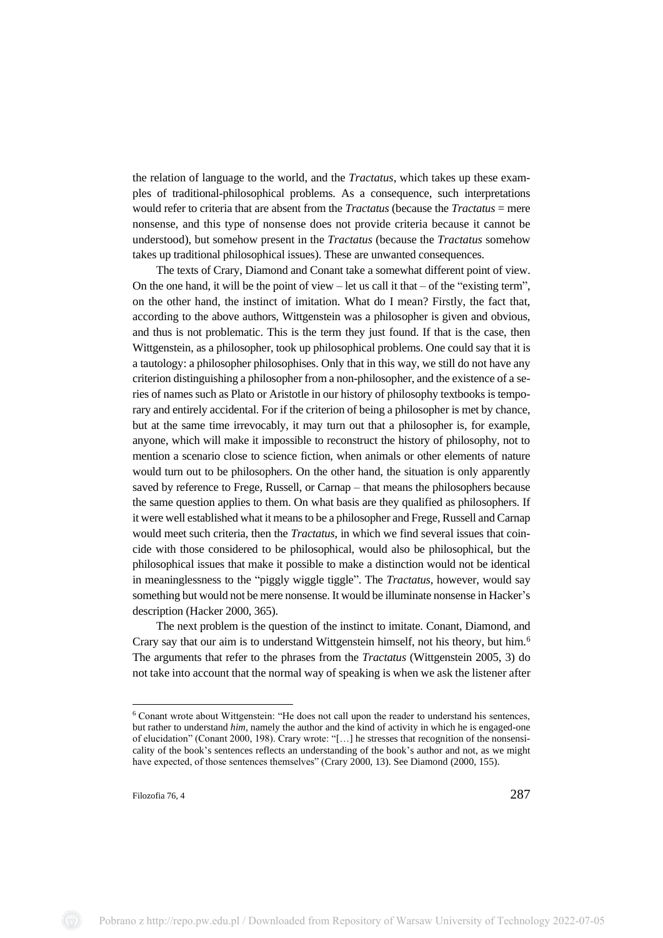the relation of language to the world, and the *Tractatus*, which takes up these examples of traditional-philosophical problems. As a consequence, such interpretations would refer to criteria that are absent from the *Tractatus* (because the *Tractatus* = mere nonsense, and this type of nonsense does not provide criteria because it cannot be understood), but somehow present in the *Tractatus* (because the *Tractatus* somehow takes up traditional philosophical issues). These are unwanted consequences.

The texts of Crary, Diamond and Conant take a somewhat different point of view. On the one hand, it will be the point of view – let us call it that – of the "existing term", on the other hand, the instinct of imitation. What do I mean? Firstly, the fact that, according to the above authors, Wittgenstein was a philosopher is given and obvious, and thus is not problematic. This is the term they just found. If that is the case, then Wittgenstein, as a philosopher, took up philosophical problems. One could say that it is a tautology: a philosopher philosophises. Only that in this way, we still do not have any criterion distinguishing a philosopher from a non-philosopher, and the existence of a series of names such as Plato or Aristotle in our history of philosophy textbooks is temporary and entirely accidental. For if the criterion of being a philosopher is met by chance, but at the same time irrevocably, it may turn out that a philosopher is, for example, anyone, which will make it impossible to reconstruct the history of philosophy, not to mention a scenario close to science fiction, when animals or other elements of nature would turn out to be philosophers. On the other hand, the situation is only apparently saved by reference to Frege, Russell, or Carnap – that means the philosophers because the same question applies to them. On what basis are they qualified as philosophers. If it were well established what it means to be a philosopher and Frege, Russell and Carnap would meet such criteria, then the *Tractatus*, in which we find several issues that coincide with those considered to be philosophical, would also be philosophical, but the philosophical issues that make it possible to make a distinction would not be identical in meaninglessness to the "piggly wiggle tiggle". The *Tractatus*, however, would say something but would not be mere nonsense. It would be illuminate nonsense in Hacker's description (Hacker 2000, 365).

The next problem is the question of the instinct to imitate. Conant, Diamond, and Crary say that our aim is to understand Wittgenstein himself, not his theory, but him.<sup>6</sup> The arguments that refer to the phrases from the *Tractatus* (Wittgenstein 2005, 3) do not take into account that the normal way of speaking is when we ask the listener after

<sup>6</sup> Conant wrote about Wittgenstein: "He does not call upon the reader to understand his sentences, but rather to understand *him*, namely the author and the kind of activity in which he is engaged-one of elucidation" (Conant 2000, 198). Crary wrote: "[…] he stresses that recognition of the nonsensicality of the book's sentences reflects an understanding of the book's author and not, as we might have expected, of those sentences themselves" (Crary 2000, 13). See Diamond (2000, 155).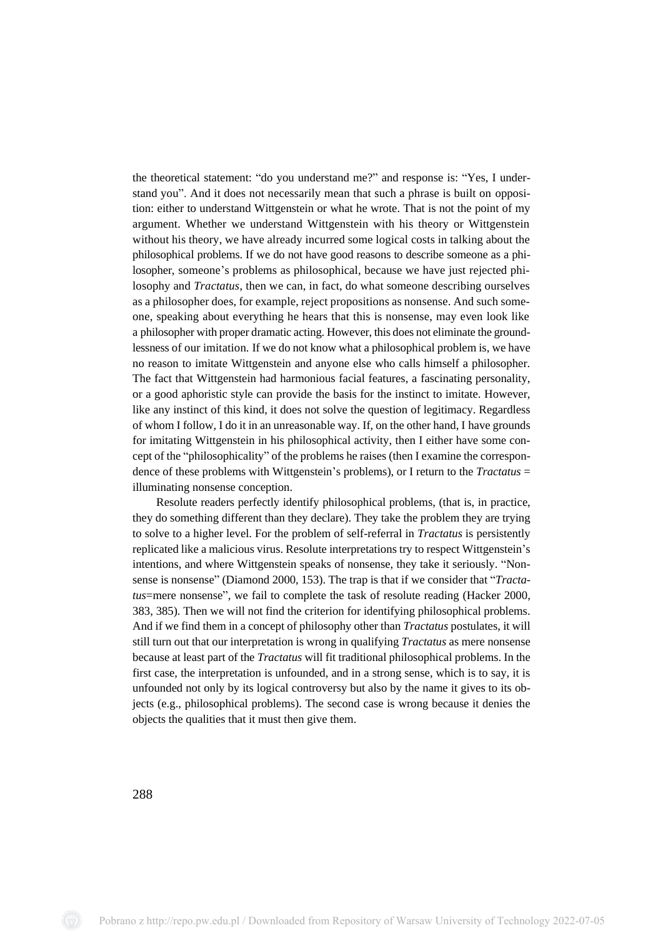the theoretical statement: "do you understand me?" and response is: "Yes, I understand you". And it does not necessarily mean that such a phrase is built on opposition: either to understand Wittgenstein or what he wrote. That is not the point of my argument. Whether we understand Wittgenstein with his theory or Wittgenstein without his theory, we have already incurred some logical costs in talking about the philosophical problems. If we do not have good reasons to describe someone as a philosopher, someone's problems as philosophical, because we have just rejected philosophy and *Tractatus*, then we can, in fact, do what someone describing ourselves as a philosopher does, for example, reject propositions as nonsense. And such someone, speaking about everything he hears that this is nonsense, may even look like a philosopher with proper dramatic acting. However, this does not eliminate the groundlessness of our imitation. If we do not know what a philosophical problem is, we have no reason to imitate Wittgenstein and anyone else who calls himself a philosopher. The fact that Wittgenstein had harmonious facial features, a fascinating personality, or a good aphoristic style can provide the basis for the instinct to imitate. However, like any instinct of this kind, it does not solve the question of legitimacy. Regardless of whom I follow, I do it in an unreasonable way. If, on the other hand, I have grounds for imitating Wittgenstein in his philosophical activity, then I either have some concept of the "philosophicality" of the problems he raises (then I examine the correspondence of these problems with Wittgenstein's problems), or I return to the *Tractatus* = illuminating nonsense conception.

Resolute readers perfectly identify philosophical problems, (that is, in practice, they do something different than they declare). They take the problem they are trying to solve to a higher level. For the problem of self-referral in *Tractatus* is persistently replicated like a malicious virus. Resolute interpretations try to respect Wittgenstein's intentions, and where Wittgenstein speaks of nonsense, they take it seriously. "Nonsense is nonsense" (Diamond 2000, 153). The trap is that if we consider that "*Tractatus*=mere nonsense", we fail to complete the task of resolute reading (Hacker 2000, 383, 385). Then we will not find the criterion for identifying philosophical problems. And if we find them in a concept of philosophy other than *Tractatus* postulates, it will still turn out that our interpretation is wrong in qualifying *Tractatus* as mere nonsense because at least part of the *Tractatus* will fit traditional philosophical problems. In the first case, the interpretation is unfounded, and in a strong sense, which is to say, it is unfounded not only by its logical controversy but also by the name it gives to its objects (e.g., philosophical problems). The second case is wrong because it denies the objects the qualities that it must then give them.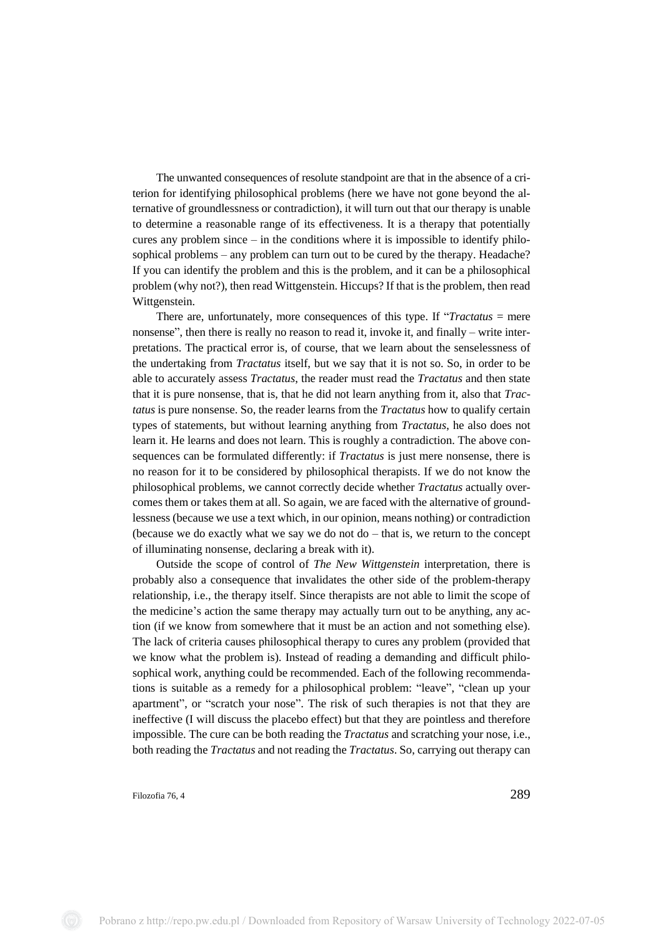The unwanted consequences of resolute standpoint are that in the absence of a criterion for identifying philosophical problems (here we have not gone beyond the alternative of groundlessness or contradiction), it will turn out that our therapy is unable to determine a reasonable range of its effectiveness. It is a therapy that potentially cures any problem since  $-$  in the conditions where it is impossible to identify philosophical problems – any problem can turn out to be cured by the therapy. Headache? If you can identify the problem and this is the problem, and it can be a philosophical problem (why not?), then read Wittgenstein. Hiccups? If that is the problem, then read Wittgenstein.

There are, unfortunately, more consequences of this type. If "*Tractatus* = mere nonsense", then there is really no reason to read it, invoke it, and finally – write interpretations. The practical error is, of course, that we learn about the senselessness of the undertaking from *Tractatus* itself, but we say that it is not so. So, in order to be able to accurately assess *Tractatus*, the reader must read the *Tractatus* and then state that it is pure nonsense, that is, that he did not learn anything from it, also that *Tractatus* is pure nonsense. So, the reader learns from the *Tractatus* how to qualify certain types of statements, but without learning anything from *Tractatus*, he also does not learn it. He learns and does not learn. This is roughly a contradiction. The above consequences can be formulated differently: if *Tractatus* is just mere nonsense, there is no reason for it to be considered by philosophical therapists. If we do not know the philosophical problems, we cannot correctly decide whether *Tractatus* actually overcomes them or takes them at all. So again, we are faced with the alternative of groundlessness (because we use a text which, in our opinion, means nothing) or contradiction (because we do exactly what we say we do not do – that is, we return to the concept of illuminating nonsense, declaring a break with it).

Outside the scope of control of *The New Wittgenstein* interpretation, there is probably also a consequence that invalidates the other side of the problem-therapy relationship, i.e., the therapy itself. Since therapists are not able to limit the scope of the medicine's action the same therapy may actually turn out to be anything, any action (if we know from somewhere that it must be an action and not something else). The lack of criteria causes philosophical therapy to cures any problem (provided that we know what the problem is). Instead of reading a demanding and difficult philosophical work, anything could be recommended. Each of the following recommendations is suitable as a remedy for a philosophical problem: "leave", "clean up your apartment", or "scratch your nose". The risk of such therapies is not that they are ineffective (I will discuss the placebo effect) but that they are pointless and therefore impossible. The cure can be both reading the *Tractatus* and scratching your nose, i.e., both reading the *Tractatus* and not reading the *Tractatus*. So, carrying out therapy can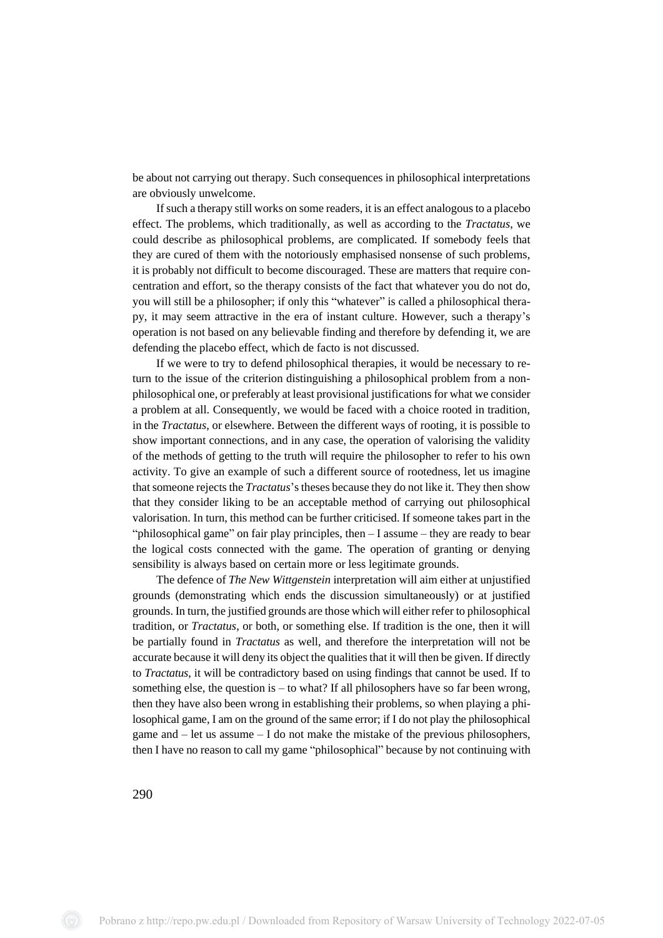be about not carrying out therapy. Such consequences in philosophical interpretations are obviously unwelcome.

If such a therapy still works on some readers, it is an effect analogous to a placebo effect. The problems, which traditionally, as well as according to the *Tractatus*, we could describe as philosophical problems, are complicated. If somebody feels that they are cured of them with the notoriously emphasised nonsense of such problems, it is probably not difficult to become discouraged. These are matters that require concentration and effort, so the therapy consists of the fact that whatever you do not do, you will still be a philosopher; if only this "whatever" is called a philosophical therapy, it may seem attractive in the era of instant culture. However, such a therapy's operation is not based on any believable finding and therefore by defending it, we are defending the placebo effect, which de facto is not discussed.

If we were to try to defend philosophical therapies, it would be necessary to return to the issue of the criterion distinguishing a philosophical problem from a nonphilosophical one, or preferably at least provisional justifications for what we consider a problem at all. Consequently, we would be faced with a choice rooted in tradition, in the *Tractatus,* or elsewhere. Between the different ways of rooting, it is possible to show important connections, and in any case, the operation of valorising the validity of the methods of getting to the truth will require the philosopher to refer to his own activity. To give an example of such a different source of rootedness, let us imagine that someone rejects the *Tractatus*'s theses because they do not like it. They then show that they consider liking to be an acceptable method of carrying out philosophical valorisation. In turn, this method can be further criticised. If someone takes part in the "philosophical game" on fair play principles, then – I assume – they are ready to bear the logical costs connected with the game. The operation of granting or denying sensibility is always based on certain more or less legitimate grounds.

The defence of *The New Wittgenstein* interpretation will aim either at unjustified grounds (demonstrating which ends the discussion simultaneously) or at justified grounds. In turn, the justified grounds are those which will either refer to philosophical tradition, or *Tractatus*, or both, or something else. If tradition is the one, then it will be partially found in *Tractatus* as well, and therefore the interpretation will not be accurate because it will deny its object the qualities that it will then be given. If directly to *Tractatus*, it will be contradictory based on using findings that cannot be used. If to something else, the question is – to what? If all philosophers have so far been wrong, then they have also been wrong in establishing their problems, so when playing a philosophical game, I am on the ground of the same error; if I do not play the philosophical game and – let us assume – I do not make the mistake of the previous philosophers, then I have no reason to call my game "philosophical" because by not continuing with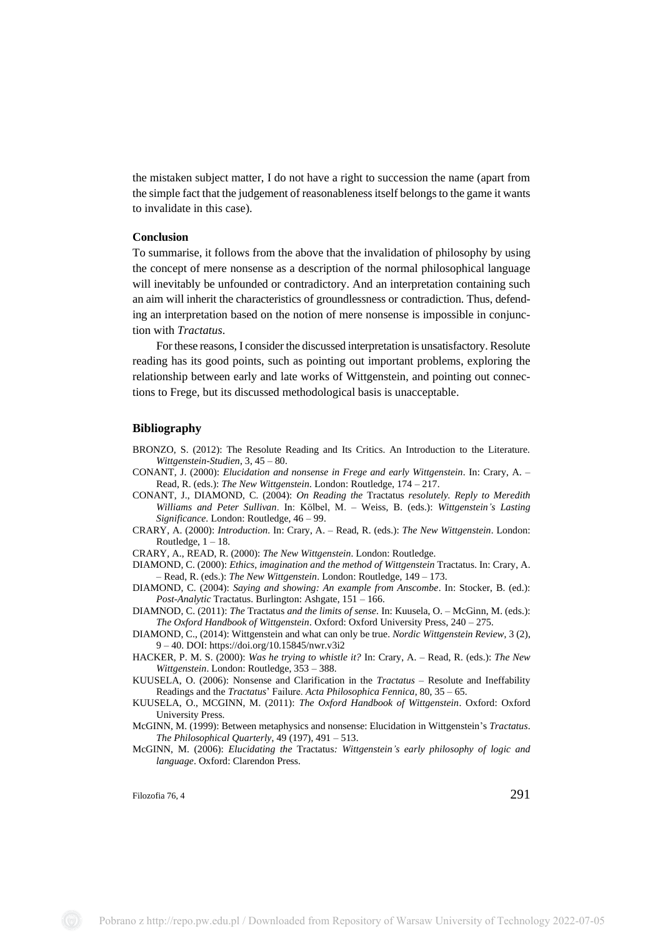the mistaken subject matter, I do not have a right to succession the name (apart from the simple fact that the judgement of reasonableness itself belongs to the game it wants to invalidate in this case).

## **Conclusion**

To summarise, it follows from the above that the invalidation of philosophy by using the concept of mere nonsense as a description of the normal philosophical language will inevitably be unfounded or contradictory. And an interpretation containing such an aim will inherit the characteristics of groundlessness or contradiction. Thus, defending an interpretation based on the notion of mere nonsense is impossible in conjunction with *Tractatus*.

For these reasons, I consider the discussed interpretation is unsatisfactory. Resolute reading has its good points, such as pointing out important problems, exploring the relationship between early and late works of Wittgenstein, and pointing out connections to Frege, but its discussed methodological basis is unacceptable.

#### **Bibliography**

- BRONZO, S. (2012): The Resolute Reading and Its Critics. An Introduction to the Literature. *Wittgenstein-Studien*, 3, 45 – 80.
- CONANT, J. (2000): *Elucidation and nonsense in Frege and early Wittgenstein*. In: Crary, A. Read, R. (eds.): *The New Wittgenstein*. London: Routledge, 174 – 217.
- CONANT, J., DIAMOND, C. (2004): *On Reading the* Tractatus *resolutely. Reply to Meredith Williams and Peter Sullivan*. In: Kölbel, M. – Weiss, B. (eds.): *Wittgenstein's Lasting Significance*. London: Routledge, 46 – 99.
- CRARY, A. (2000): *Introduction*. In: Crary, A. Read, R. (eds.): *The New Wittgenstein*. London: Routledge,  $1 - 18$ .
- CRARY, A., READ, R. (2000): *The New Wittgenstein*. London: Routledge.
- DIAMOND, C. (2000): *Ethics, imagination and the method of Wittgenstein* Tractatus. In: Crary, A. – Read, R. (eds.): *The New Wittgenstein*. London: Routledge, 149 – 173.
- DIAMOND, C. (2004): *Saying and showing: An example from Anscombe*. In: Stocker, B. (ed.): *Post-Analytic* Tractatus. Burlington: Ashgate, 151 – 166.
- DIAMNOD, C. (2011): *The* Tractatus *and the limits of sense*. In: Kuusela, O. McGinn, M. (eds.): *The Oxford Handbook of Wittgenstein*. Oxford: Oxford University Press, 240 – 275.
- DIAMOND, C., (2014): Wittgenstein and what can only be true. *Nordic Wittgenstein Review*, 3 (2), 9 – 40. DOI:<https://doi.org/10.15845/nwr.v3i2>
- HACKER, P. M. S. (2000): *Was he trying to whistle it?* In: Crary, A. Read, R. (eds.): *The New Wittgenstein*. London: Routledge, 353 – 388.
- KUUSELA, O. (2006): Nonsense and Clarification in the *Tractatus* Resolute and Ineffability Readings and the *Tractatus*' Failure. *Acta Philosophica Fennica*, 80, 35 – 65.
- KUUSELA, O., MCGINN, M. (2011): *The Oxford Handbook of Wittgenstein*. Oxford: Oxford University Press.
- McGINN, M. (1999): Between metaphysics and nonsense: Elucidation in Wittgenstein's *Tractatus*. *The Philosophical Quarterly*, 49 (197), 491 – 513.
- McGINN, M. (2006): *Elucidating the* Tractatus*: Wittgenstein's early philosophy of logic and language*. Oxford: Clarendon Press.

Filozofia 76, 4 $291$